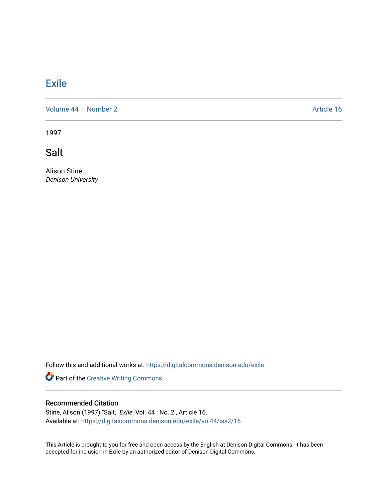## **[Exile](https://digitalcommons.denison.edu/exile)**

[Volume 44](https://digitalcommons.denison.edu/exile/vol44) | [Number 2](https://digitalcommons.denison.edu/exile/vol44/iss2) Article 16

1997

Salt

Alison Stine Denison University

Follow this and additional works at: [https://digitalcommons.denison.edu/exile](https://digitalcommons.denison.edu/exile?utm_source=digitalcommons.denison.edu%2Fexile%2Fvol44%2Fiss2%2F16&utm_medium=PDF&utm_campaign=PDFCoverPages) 

Part of the [Creative Writing Commons](http://network.bepress.com/hgg/discipline/574?utm_source=digitalcommons.denison.edu%2Fexile%2Fvol44%2Fiss2%2F16&utm_medium=PDF&utm_campaign=PDFCoverPages) 

## Recommended Citation

Stine, Alison (1997) "Salt," Exile: Vol. 44 : No. 2 , Article 16. Available at: [https://digitalcommons.denison.edu/exile/vol44/iss2/16](https://digitalcommons.denison.edu/exile/vol44/iss2/16?utm_source=digitalcommons.denison.edu%2Fexile%2Fvol44%2Fiss2%2F16&utm_medium=PDF&utm_campaign=PDFCoverPages)

This Article is brought to you for free and open access by the English at Denison Digital Commons. It has been accepted for inclusion in Exile by an authorized editor of Denison Digital Commons.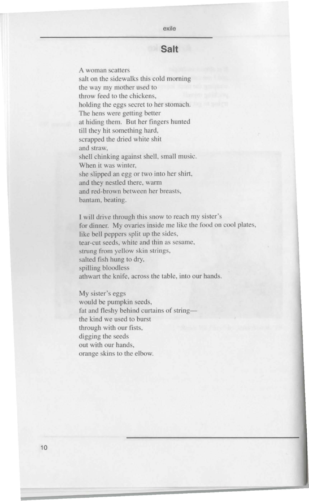## exile

## **Salt**

A woman scatters salt on the sidewalks this cold morning the way my mother used to throw feed to the chickens, holding the eggs secret to her stomach. The hens were getting better at hiding them. But her fingers hunted till they hit something hard, scrapped the dried white shit and straw, shell chinking against shell, small music. When it was winter, she slipped an egg or two into her shirt, and they nestled there, warm and red-brown between her breasts, bantam, beating.

I will drive through this snow to reach my sister's for dinner. My ovaries inside me like the food on cool plates, like bell peppers split up the sides, tear-cut seeds, white and thin as sesame, strung from yellow skin strings, salted fish hung to dry, spilling bloodless athwart the knife, across the table, into our hands.

**My** sister's eggs would be pumpkin seeds, fat and fleshy behind curtains of stringthe kind we used to burst through with our fists, digging the seeds out with our hands, orange skins to the elbow.